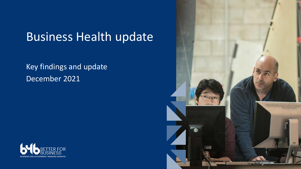# Business Health update

### Key findings and update December 2021



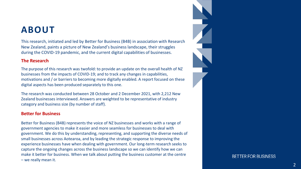### **ABOUT**

This research, initiated and led by Better for Business (B4B) in association with Research New Zealand, paints a picture of New Zealand's business landscape, their struggles during the COVID -19 pandemic, and the current digital capabilities of businesses.

#### **The Research**

The purpose of this research was twofold: to provide an update on the overall health of NZ businesses from the impacts of COVID -19; and to track any changes in capabilities, motivations and / or barriers to becoming more digitally enabled. A report focused on these digital aspects has been produced separately to this one.

The research was conducted between 28 October and 2 December 2021, with 2,212 New Zealand businesses interviewed. Answers are weighted to be representative of industry category and business size (by number of staff).

#### **Better for Business**

Better for Business (B4B) represents the voice of NZ businesses and works with a range of government agencies to make it easier and more seamless for businesses to deal with government. We do this by understanding, representing, and supporting the diverse needs of small businesses across Aotearoa, and by leading the strategic response to improving the experience businesses have when dealing with government. Our long -term research seeks to capture the ongoing changes across the business landscape so we can identify how we can make it better for business. When we talk about putting the business customer at the centre – we really mean it.

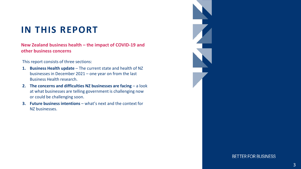### **IN THIS REPORT**

**New Zealand business health – the impact of COVID-19 and other business concerns**

This report consists of three sections:

- **1. Business Health update**  The current state and health of NZ businesses in December 2021 – one year on from the last Business Health research.
- **2. The concerns and difficulties NZ businesses are facing** a look at what businesses are telling government is challenging now or could be challenging soon.
- **3. Future business intentions** what's next and the context for NZ businesses.

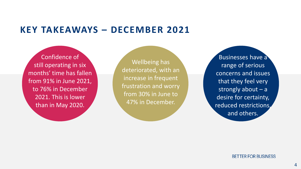### **KEY TAKEAWAYS – DECEMBER 2021**

Confidence of still operating in six months' time has fallen from 91% in June 2021, to 76% in December 2021. This is lower than in May 2020.

Wellbeing has deteriorated, with an increase in frequent frustration and worry from 30% in June to 47% in December.

Businesses have a range of serious concerns and issues that they feel very strongly about  $- a$ desire for certainty, reduced restrictions, and others.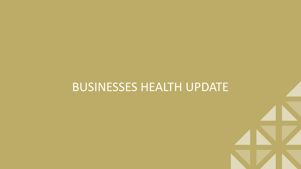## BUSINESSES HEALTH UPDATE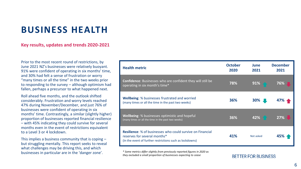#### **Key results, updates and trends 2020-2021**

Prior to the most recent round of restrictions, by June 2021 NZ's businesses were relatively buoyant. 91% were confident of operating in six months' time, and 30% had felt a sense of frustration or worry "many times or all the time" in the two weeks prior to responding to the survey – although optimism had fallen, perhaps a precursor to what happened next.

Roll ahead five months, and the outlook shifted considerably. Frustration and worry levels reached 47% during November/December, and just 76% of businesses were confident of operating in six months' time. Contrastingly, a similar (slightly higher) proportion of businesses reported financial resilience – with 45% indicating they could survive for several months even in the event of restrictions equivalent to a Level 3 or 4 lockdown.

This implies a business community that is coping – but struggling mentally. This report seeks to reveal what challenges may be driving this, and which businesses in particular are in the 'danger zone'.

| <b>Health metric</b>                                                                                                                                          | <b>October</b><br>2020 | June<br>2021 | <b>December</b><br>2021 |
|---------------------------------------------------------------------------------------------------------------------------------------------------------------|------------------------|--------------|-------------------------|
| <b>Confidence:</b> Businesses who are confident they will still be<br>operating in six month's time*                                                          | 78%                    | 91%          | 76%                     |
| <b>Wellbeing:</b> % businesses frustrated and worried<br>(many times or all the time in the past two weeks)                                                   | 36%                    | 30%          | 47%                     |
| <b>Wellbeing:</b> % businesses optimistic and hopeful<br>(many times or all the time in the past two weeks)                                                   | 36%                    | 42%          | 27%                     |
| <b>Resilience:</b> % of businesses who could survive on Financial<br>reserves for several months*<br>(In the event of further restrictions such as lockdowns) | 41%                    | Not asked    |                         |

*\* Some metrics differ slightly from previously reported figures in 2020 as they excluded a small proportion of businesses expecting to cease*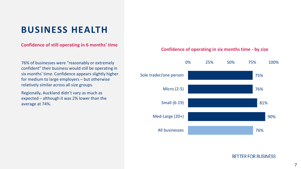#### **Confidence of still operating in 6 months' time**

76% of businesses were "reasonably or extremely confident" their business would still be operating in six months' time. Confidence appears slightly higher for medium to large employers – but otherwise relatively similar across all size groups.

Regionally, Auckland didn't vary as much as expected – although it was 2% lower than the average at 74%.

#### **Confidence of operating in six months time - by size**

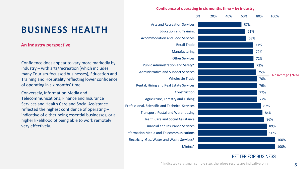#### **An industry perspective**

Confidence does appear to vary more markedly by industry – with arts/recreation (which includes many Tourism-focussed businesses), Education and Training and Hospitality reflecting lower confidence of operating in six months' time.

Conversely, Information Media and Telecommunications, Finance and Insurance Services and Health Care and Social Assistance reflected the highest confidence of operating – indicative of either being essential businesses, or a higher likelihood of being able to work remotely very effectively.

#### **Confidence of operating in six months time – by industry**

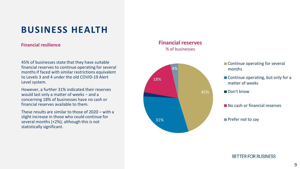#### **Financial resilience**

45% of businesses state that they have suitable financial reserves to continue operating for several months if faced with similar restrictions equivalent to Levels 3 and 4 under the old COVID-19 Alert Level system.

However, a further 31% indicated their reserves would last only a matter of weeks – and a concerning 18% of businesses have no cash or financial reserves available to them.

These results are similar to those of 2020 – with a slight increase in those who could continue for several months (+2%); although this is not statistically significant.

#### **Financial reserves** % of businesses



- Continue operating for several
- Continue operating, but only for a matter of weeks
- 
- No cash or financial reserves

#### Prefer not to say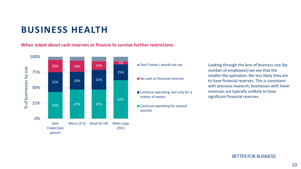#### **When asked about cash reserves or finance to survive further restrictions**



Don't know / would not say No cash or financial reserves Continue operating, but only for a matter of weeks ■ Continue operating for several months

Looking through the lens of business size (by number of employees) we see that the smaller the operation, the less likely they are to have financial reserves. This is consistent with previous research; businesses with lower revenues are typically unlikely to have significant financial reserves.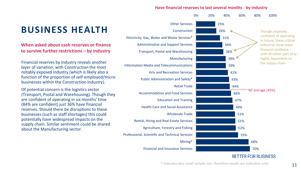#### **Have financial reserves to last several months - by industry**



\* Indicates very small sample size, therefore results are indicative only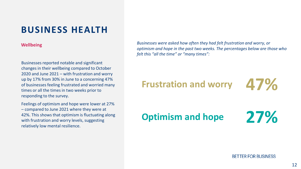#### **Wellbeing**

Businesses reported notable and significant changes in their wellbeing compared to October 2020 and June 2021 – with frustration and worry up by 17% from 30% in June to a concerning 47% of businesses feeling frustrated and worried many times or all the times in two weeks prior to responding to the survey.

Feelings of optimism and hope were lower at 27% – compared to June 2021 where they were at 42%. This shows that optimism is fluctuating along with frustration and worry levels, suggesting relatively low mental resilience.

*Businesses were asked how often they had felt frustration and worry, or optimism and hope in the past two weeks. The percentages below are those who felt this "all the time" or "many times":*

## **Frustration and worry**

**47%**

**27% Optimism and hope**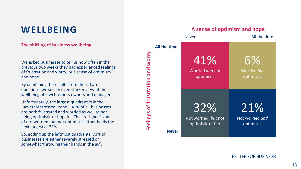### **WELLBEING**

#### **The shifting of business wellbeing**

We asked businesses to tell us how often in the previous two weeks they had experienced feelings of frustration and worry, or a sense of optimism and hope.

By combining the results from these two questions, we see an even starker view of the wellbeing of Kiwi business owners and managers.

Unfortunately, the largest quadrant is in the "severely stressed" zone – 41% of all businesses are both frustrated and worried as well as not being optimistic or hopeful. The "resigned" zone of not worried, but not optimistic either holds the next largest at 32%.

So, adding up the leftmost quadrants, 73% of businesses are either severely stressed or somewhat 'throwing their hands in the air'.

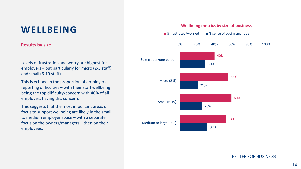### **WELLBEING**

#### **Results by size**

Levels of frustration and worry are highest for employers – but particularly for micro (2-5 staff) and small (6-19 staff).

This is echoed in the proportion of employers reporting difficulties – with their staff wellbeing being the top difficulty/concern with 40% of all employers having this concern.

This suggests that the most important areas of focus to support wellbeing are likely in the small to medium employer space – with a separate focus on the owners/managers – then on their employees.



#### **Wellbeing metrics by size of business**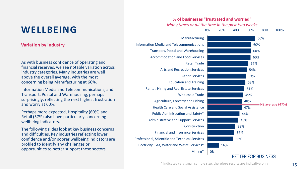### **WELLBEING**

**Variation by industry**

As with business confidence of operating and financial reserves, we see notable variation across industry categories. Many industries are well above the overall average, with the most concerning being Manufacturing at 66%.

Information Media and Telecommunications, and Transport, Postal and Warehousing, perhaps surprisingly, reflecting the next highest frustration and worry at 60%.

Perhaps more expected, Hospitality (60%) and Retail (57%) also have particularly concerning wellbeing indicators.

The following slides look at key business concerns and difficulties. Key industries reflecting lower confidence and/or poorer wellbeing indicators are profiled to identify any challenges or opportunities to better support these sectors.

#### **% of businesses "frustrated and worried"**



\* Indicates very small sample size, therefore results are indicative only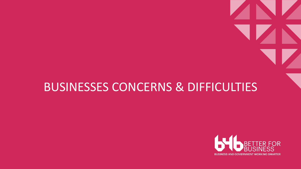## BUSINESSES CONCERNS & DIFFICULTIES

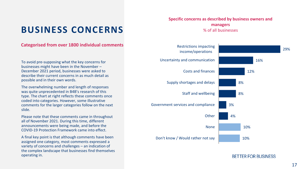### **BUSINESS CONCERNS**

#### **Categorised from over 1800 individual comments**

To avoid pre-supposing what the key concerns for businesses might have been in the November – December 2021 period, businesses were asked to describe their current concerns in as much detail as possible and in their own words.

The overwhelming number and length of responses was quite unprecedented in B4B's research of this type. The chart at right reflects these comments once coded into categories. However, some illustrative comments for the larger categories follow on the next slide.

Please note that these comments came in throughout all of November 2021. During this time, different announcements were being made, and before the COVID-19 Protection Framework came into effect.

A final key point is that although comments have been assigned one category, most comments expressed a variety of concerns and challenges – an indication of the complex landscape that businesses find themselves operating in.

#### **Specific concerns as described by business owners and managers** % of all businesses

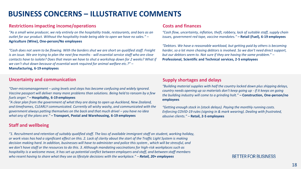### **BUSINESS CONCERNS – ILLUSTRATIVE COMMENTS**

#### **Restrictions impacting income/operations**

*"As a small wine producer, we rely entirely on the hospitality trade, restaurants, and bars as an outlet for our product. Without the hospitality trade being able to open we have no sales."* – **Agriculture (Wine), One-person/No employees**

*"Cash does not seem to be flowing. With the borders shut we are short on qualified staff. Freight is an issue. We are trying to plan the next few months - will essential service staff who are close contacts have to isolate? Does that mean we have to shut a workshop down for 2 weeks? What if we can't shut down because of essential work required for animal welfare etc.?"* – **Manufacturing, 6-19 employees**

#### **Costs and finances**

*"Cash flow, uncertainty, inflation, theft, robbery, lack of suitable staff, supply chain issues, government red tape, vaccine mandates."* **– Retail (Fuel), 6-19 employees**

*"Debtors. We have a reasonable workload, but getting paid by others is becoming harder, so a lot more chasing debtors is involved. So we don't need direct support, but our debtors seem to. Not sure if they are having the same problem.*" – **Professional, Scientific and Technical services, 2-5 employees**

#### **Uncertainty and communication**

*"Over-micromanagement – using levels and steps has become confusing and widely ignored. Vaccine passport will deliver many more problems than solutions. Being held to ransom by a few fuels anger."* **– Hospitality, 6-19 employees**

*"A clear plan from the government of what they are doing to open up Auckland, New Zealand, and timeframes, CLEARLY communicated. Currently all wishy washy, and communicated with the government always patting themselves on the back and that much drivel – you have no idea what any of the plans are."* **– Transport, Postal and Warehousing, 6-19 employees**

#### **Staff and wellbeing**

#### **Supply shortages and delays**

*"Building material supplies with half the country locked down plus shipping delays, country needs opening up so materials don't keep going up - if it keeps on going the building industry will come to a grinding holt."* **– Construction, One-person/no employees**

*"Getting enough stock in (stock delays). Paying the monthly running costs. Enforcing COVID-19 rules (signing in & mark wearing). Dealing with frustrated, abusive clients."* – **Retail, 2-5 employees**

*"1. Recruitment and retention of suitably qualified staff. The loss of available immigrant staff on student, working holiday, or work visas has had a significant effect on this. 2. Lack of clarity about the start of the Traffic Light System is making decision making hard. In addition, businesses will have to administer and police this system , which will be stressful, and we don't have staff or the resources to do this. 3. Although mandating vaccinations for high-risk workplaces such as hospitality is a welcome move, it has set up potential conflict between employers and staff, and between staff members who resent having to share what they see as lifestyle decisions with the workplace." – Retail, 20+ employees*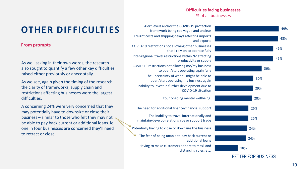#### **Difficulties facing businesses** % of all businesses



**OTHER DIFFICULTIES**

#### **From prompts**

As well asking in their own words, the research also sought to quantify a few other key difficulties raised either previously or anecdotally.

As we see, again given the timing of the research, the clarity of frameworks, supply chain and restrictions affecting businesses were the largest difficulties.

A concerning 24% were very concerned that they may potentially have to downsize or close their business – similar to those who felt they may not be able to pay back current or additional loans. ie. one in four businesses are concerned they'll need to retract or close.

Alert levels and/or the COVID-19 protection framework being too vague and unclear Freight costs and shipping delays affecting imports and exports COVID-19 restrictions not allowing other businesses that I rely on to operate fully Inter-regional travel restrictions within NZ affecting productivity or supply COVID-19 restrictions not allowing me/my business to open/start operating again fully The uncertainty of when I might be able to open/start operating my business again Inability to invest in further development due to COVID-19 situation Your ongoing mental wellbeing The need for additional finance/financial support The inability to travel internationally and maintain/develop relationships or support trade Potentially having to close or downsize the business The fear of being unable to pay back current or additional loans Having to make customers adhere to mask and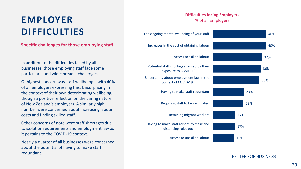## **EMPLOYER DIFFICULTIES**

**Specific challenges for those employing staff**

In addition to the difficulties faced by all businesses, those employing staff face some particular – and widespread – challenges.

Of highest concern was staff wellbeing – with 40% of all employers expressing this. Unsurprising in the context of their own deteriorating wellbeing, though a positive reflection on the caring nature of New Zealand's employers. A similarly high number were concerned about increasing labour costs and finding skilled staff.

Other concerns of note were staff shortages due to isolation requirements and employment law as it pertains to the COVID-19 context.

Nearly a quarter of all businesses were concerned about the potential of having to make staff redundant.

#### **Difficulties facing Employers** % of all Employers

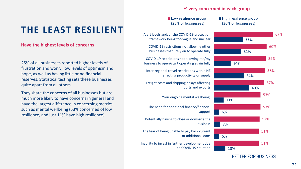### **THE LEAST RESILIENT**

#### **Have the highest levels of concerns**

25% of all businesses reported higher levels of frustration and worry, low levels of optimism and hope, as well as having little or no financial reserves. Statistical testing sets these businesses quite apart from all others.

They share the concerns of all businesses but are much more likely to have concerns in general and have the largest difference in concerning metrics such as mental wellbeing (53% concerned of low resilience, and just 11% have high resilience).

#### **% very concerned in each group**

#### Low resilience group (25% of businesses)

#### High resilience group (36% of businesses)

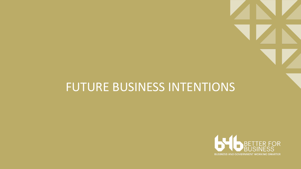## FUTURE BUSINESS INTENTIONS

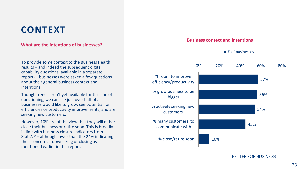### **CONTEXT**

#### **What are the intentions of businesses?**

To provide some context to the Business Health results – and indeed the subsequent digital capability questions (available in a separate report) – businesses were asked a few questions about their general business context and intentions.

Though trends aren't yet available for this line of questioning, we can see just over half of all businesses would like to grow, see potential for efficiencies or productivity improvements, and are seeking new customers.

However, 10% are of the view that they will either close their business or retire soon. This is broadly in line with business closure indicators from StatsNZ – although lower than the 24% indicating their concern at downsizing or closing as mentioned earlier in this report.

#### **Business context and intentions**

■% of businesses

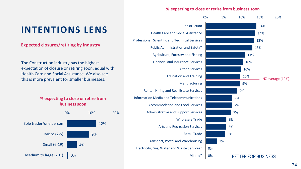#### **% expecting to close or retire from business soon**



### **INTENTIONS LENS**

**Expected closures/retiring by industry**

The Construction industry has the highest expectation of closure or retiring soon, equal with Health Care and Social Assistance. We also see this is more prevalent for smaller businesses.

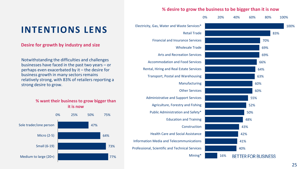### **INTENTIONS LENS**

#### **Desire for growth by industry and size**

Notwithstanding the difficulties and challenges businesses have faced in the past two years – or perhaps even exacerbated by it – the desire for business growth in many sectors remains relatively strong, with 83% of retailers reporting a strong desire to grow.



#### **% desire to grow the business to be bigger than it is now**

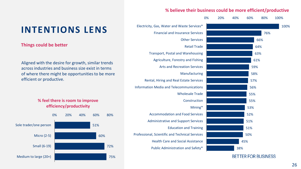### **INTENTIONS LENS**

#### **Things could be better**

Aligned with the desire for growth, similar trends across industries and business size exist in terms of where there might be opportunities to be more efficient or productive.

> **% feel there is room to improve efficiency/productivity**



#### **% believe their business could be more efficient/productive**



**BETTER FOR BUSINESS**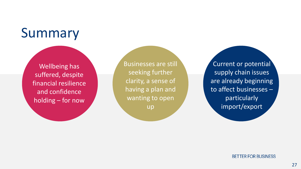# Summary

Wellbeing has suffered, despite financial resilience and confidence holding – for now

Businesses are still seeking further clarity, a sense of having a plan and wanting to open

up

Current or potential supply chain issues are already beginning to affect businesses – particularly import/export